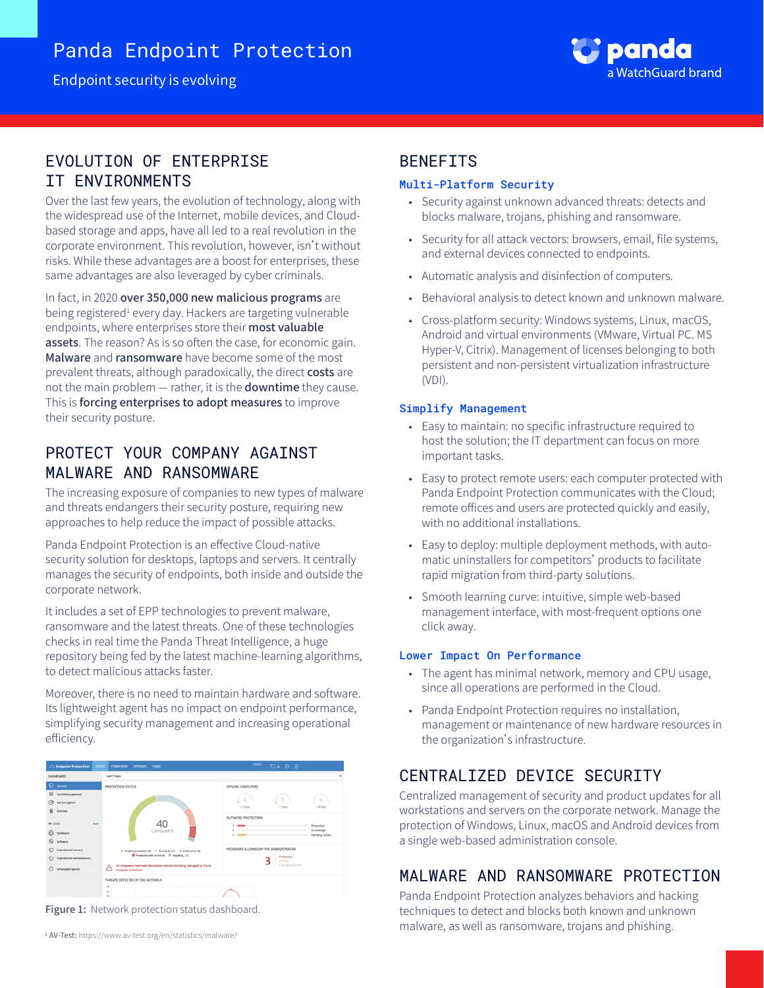Endpoint security is evolving



### EVOLUTION OF ENTERPRISE IT ENVIRONMENTS

Over the last few years, the evolution of technology, along with the widespread use of the Internet, mobile devices, and Cloudbased storage and apps, have all led to a real revolution in the corporate environment. This revolution, however, isn't without risks. While these advantages are a boost for enterprises, these same advantages are also leveraged by cyber criminals.

In fact, in 2020 over 350,000 new malicious programs are being registered<sup>1</sup> every day. Hackers are targeting vulnerable endpoints, where enterprises store their most valuable assets. The reason? As is so often the case, for economic gain. Malware and ransomware have become some of the most prevalent threats, although paradoxically, the direct costs are not the main problem  $-$  rather, it is the **downtime** they cause. This is forcing enterprises to adopt measures to improve their security posture.

### PROTECT YOUR COMPANY AGAINST MALWARE AND RANSOMWARE

The increasing exposure of companies to new types of malware and threats endangers their security posture, requiring new approaches to help reduce the impact of possible attacks.

Panda Endpoint Protection is an effective Cloud-native security solution for desktops, laptops and servers. It centrally manages the security of endpoints, both inside and outside the corporate network.

It includes a set of EPP technologies to prevent malware, ransomware and the latest threats. One of these technologies checks in real time the Panda Threat Intelligence, a huge repository being fed by the latest machine-learning algorithms, to detect malicious attacks faster.

Moreover, there is no need to maintain hardware and software. Its lightweight agent has no impact on endpoint performance, simplifying security management and increasing operational efficiency.



Figure 1: Network protection status dashboard.

#### BENEFITS

#### Multi-Platform Security

- **•** Security against unknown advanced threats: detects and blocks malware, trojans, phishing and ransomware.
- **•** Security for all attack vectors: browsers, email, file systems, and external devices connected to endpoints.
- **•** Automatic analysis and disinfection of computers.
- **•** Behavioral analysis to detect known and unknown malware.
- **•** Cross-platform security: Windows systems, Linux, macOS, Android and virtual environments (VMware, Virtual PC. MS Hyper-V, Citrix). Management of licenses belonging to both persistent and non-persistent virtualization infrastructure (VDI).

#### Simplify Management

- **•** Easy to maintain: no specific infrastructure required to host the solution; the IT department can focus on more important tasks.
- **•** Easy to protect remote users: each computer protected with Panda Endpoint Protection communicates with the Cloud; remote offices and users are protected quickly and easily, with no additional installations.
- **•** Easy to deploy: multiple deployment methods, with automatic uninstallers for competitors' products to facilitate rapid migration from third-party solutions.
- **•** Smooth learning curve: intuitive, simple web-based management interface, with most-frequent options one click away.

#### Lower Impact On Performance

- **•** The agent has minimal network, memory and CPU usage, since all operations are performed in the Cloud.
- **•** Panda Endpoint Protection requires no installation, management or maintenance of new hardware resources in the organization's infrastructure.

### CENTRALIZED DEVICE SECURITY

Centralized management of security and product updates for all workstations and servers on the corporate network. Manage the protection of Windows, Linux, macOS and Android devices from a single web-based administration console.

#### MALWARE AND RANSOMWARE PROTECTION

Panda Endpoint Protection analyzes behaviors and hacking techniques to detect and blocks both known and unknown malware, as well as ransomware, trojans and phishing.

1 AV-Test: https://www.av-test.org/en/statistics/malware/